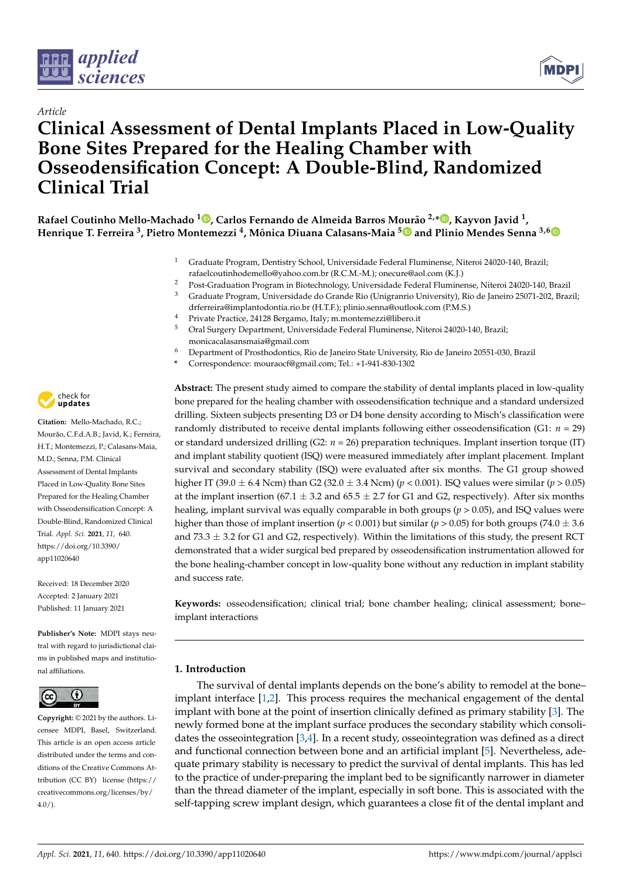



# *Article* **Clinical Assessment of Dental Implants Placed in Low-Quality Bone Sites Prepared for the Healing Chamber with Osseodensification Concept: A Double-Blind, Randomized Clinical Trial**

**Rafael Coutinho Mello-Machado <sup>1</sup> [,](https://orcid.org/0000-0002-0201-3273) Carlos Fernando de Almeida Barros Mourão 2,[\\*](https://orcid.org/0000-0001-5775-0222) , Kayvon Javid <sup>1</sup> , Henrique T. Ferreira <sup>3</sup> , Pietro Montemezzi <sup>4</sup> , Mônica Diuana Calasans-Maia [5](https://orcid.org/0000-0001-5759-7926) and Plinio Mendes Senna 3,[6](https://orcid.org/0000-0003-0743-5376)**

- <sup>1</sup> Graduate Program, Dentistry School, Universidade Federal Fluminense, Niteroi 24020-140, Brazil; rafaelcoutinhodemello@yahoo.com.br (R.C.M.-M.); onecure@aol.com (K.J.)
- <sup>2</sup> Post-Graduation Program in Biotechnology, Universidade Federal Fluminense, Niteroi 24020-140, Brazil
- <sup>3</sup> Graduate Program, Universidade do Grande Rio (Unigranrio University), Rio de Janeiro 25071-202, Brazil; drferreira@implantodontia.rio.br (H.T.F.); plinio.senna@outlook.com (P.M.S.)
- <sup>4</sup> Private Practice, 24128 Bergamo, Italy; m.montemezzi@libero.it
- <sup>5</sup> Oral Surgery Department, Universidade Federal Fluminense, Niteroi 24020-140, Brazil; monicacalasansmaia@gmail.com
- <sup>6</sup> Department of Prosthodontics, Rio de Janeiro State University, Rio de Janeiro 20551-030, Brazil
- **\*** Correspondence: mouraocf@gmail.com; Tel.: +1-941-830-1302

**Abstract:** The present study aimed to compare the stability of dental implants placed in low-quality bone prepared for the healing chamber with osseodensification technique and a standard undersized drilling. Sixteen subjects presenting D3 or D4 bone density according to Misch's classification were randomly distributed to receive dental implants following either osseodensification (G1: *n* = 29) or standard undersized drilling (G2: *n* = 26) preparation techniques. Implant insertion torque (IT) and implant stability quotient (ISQ) were measured immediately after implant placement. Implant survival and secondary stability (ISQ) were evaluated after six months. The G1 group showed higher IT (39.0 ± 6.4 Ncm) than G2 (32.0 ± 3.4 Ncm) (*p* < 0.001). ISQ values were similar (*p* > 0.05) at the implant insertion (67.1  $\pm$  3.2 and 65.5  $\pm$  2.7 for G1 and G2, respectively). After six months healing, implant survival was equally comparable in both groups (*p* > 0.05), and ISQ values were higher than those of implant insertion ( $p < 0.001$ ) but similar ( $p > 0.05$ ) for both groups (74.0  $\pm$  3.6 and  $73.3 \pm 3.2$  for G1 and G2, respectively). Within the limitations of this study, the present RCT demonstrated that a wider surgical bed prepared by osseodensification instrumentation allowed for the bone healing-chamber concept in low-quality bone without any reduction in implant stability and success rate.

**Keywords:** osseodensification; clinical trial; bone chamber healing; clinical assessment; bone– implant interactions

# **1. Introduction**

The survival of dental implants depends on the bone's ability to remodel at the bone– implant interface [\[1,](#page-8-0)[2\]](#page-8-1). This process requires the mechanical engagement of the dental implant with bone at the point of insertion clinically defined as primary stability [\[3\]](#page-8-2). The newly formed bone at the implant surface produces the secondary stability which consolidates the osseointegration  $[3,4]$  $[3,4]$ . In a recent study, osseointegration was defined as a direct and functional connection between bone and an artificial implant [\[5\]](#page-8-4). Nevertheless, adequate primary stability is necessary to predict the survival of dental implants. This has led to the practice of under-preparing the implant bed to be significantly narrower in diameter than the thread diameter of the implant, especially in soft bone. This is associated with the self-tapping screw implant design, which guarantees a close fit of the dental implant and



**Citation:** Mello-Machado, R.C.; Mourão, C.F.d.A.B.; Javid, K.; Ferreira, H.T.; Montemezzi, P.; Calasans-Maia, M.D.; Senna, P.M. Clinical Assessment of Dental Implants Placed in Low-Quality Bone Sites Prepared for the Healing Chamber with Osseodensification Concept: A Double-Blind, Randomized Clinical Trial. *Appl. Sci.* **2021**, *11*, 640. [https://doi.org/10.3390/](https://doi.org/10.3390/app11020640) [app11020640](https://doi.org/10.3390/app11020640)

Received: 18 December 2020 Accepted: 2 January 2021 Published: 11 January 2021

**Publisher's Note:** MDPI stays neutral with regard to jurisdictional claims in published maps and institutional affiliations.



**Copyright:** © 2021 by the authors. Licensee MDPI, Basel, Switzerland. This article is an open access article distributed under the terms and conditions of the Creative Commons Attribution (CC BY) license [\(https://](https://creativecommons.org/licenses/by/4.0/) [creativecommons.org/licenses/by/](https://creativecommons.org/licenses/by/4.0/)  $4.0/$ ).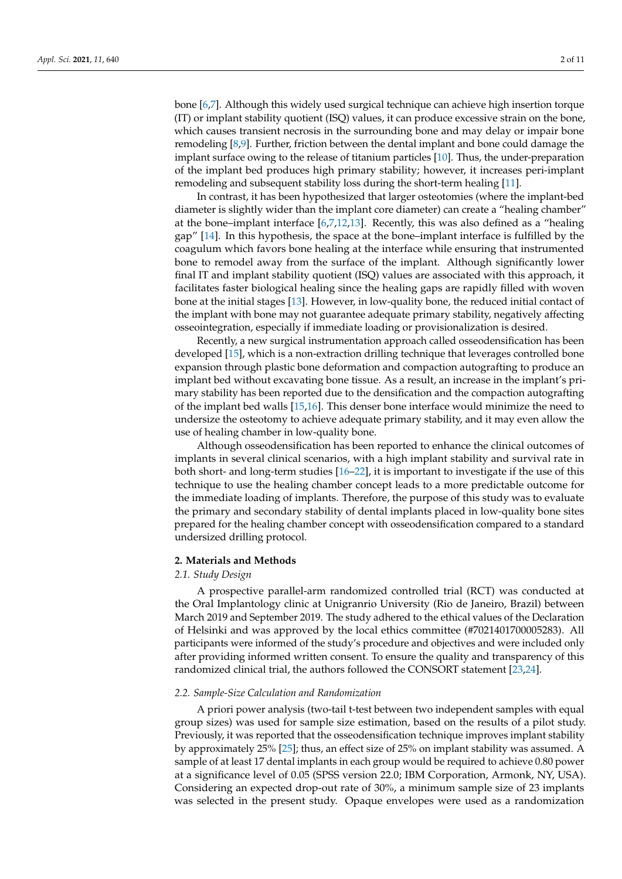bone [\[6,](#page-9-0)[7\]](#page-9-1). Although this widely used surgical technique can achieve high insertion torque (IT) or implant stability quotient (ISQ) values, it can produce excessive strain on the bone, which causes transient necrosis in the surrounding bone and may delay or impair bone remodeling [\[8](#page-9-2)[,9\]](#page-9-3). Further, friction between the dental implant and bone could damage the implant surface owing to the release of titanium particles [\[10\]](#page-9-4). Thus, the under-preparation of the implant bed produces high primary stability; however, it increases peri-implant remodeling and subsequent stability loss during the short-term healing [\[11\]](#page-9-5).

In contrast, it has been hypothesized that larger osteotomies (where the implant-bed diameter is slightly wider than the implant core diameter) can create a "healing chamber" at the bone–implant interface  $[6,7,12,13]$  $[6,7,12,13]$  $[6,7,12,13]$  $[6,7,12,13]$ . Recently, this was also defined as a "healing gap" [\[14\]](#page-9-8). In this hypothesis, the space at the bone–implant interface is fulfilled by the coagulum which favors bone healing at the interface while ensuring that instrumented bone to remodel away from the surface of the implant. Although significantly lower final IT and implant stability quotient (ISQ) values are associated with this approach, it facilitates faster biological healing since the healing gaps are rapidly filled with woven bone at the initial stages [\[13\]](#page-9-7). However, in low-quality bone, the reduced initial contact of the implant with bone may not guarantee adequate primary stability, negatively affecting osseointegration, especially if immediate loading or provisionalization is desired.

Recently, a new surgical instrumentation approach called osseodensification has been developed [\[15\]](#page-9-9), which is a non-extraction drilling technique that leverages controlled bone expansion through plastic bone deformation and compaction autografting to produce an implant bed without excavating bone tissue. As a result, an increase in the implant's primary stability has been reported due to the densification and the compaction autografting of the implant bed walls [\[15](#page-9-9)[,16\]](#page-9-10). This denser bone interface would minimize the need to undersize the osteotomy to achieve adequate primary stability, and it may even allow the use of healing chamber in low-quality bone.

Although osseodensification has been reported to enhance the clinical outcomes of implants in several clinical scenarios, with a high implant stability and survival rate in both short- and long-term studies [\[16–](#page-9-10)[22\]](#page-9-11), it is important to investigate if the use of this technique to use the healing chamber concept leads to a more predictable outcome for the immediate loading of implants. Therefore, the purpose of this study was to evaluate the primary and secondary stability of dental implants placed in low-quality bone sites prepared for the healing chamber concept with osseodensification compared to a standard undersized drilling protocol.

## **2. Materials and Methods**

#### *2.1. Study Design*

A prospective parallel-arm randomized controlled trial (RCT) was conducted at the Oral Implantology clinic at Unigranrio University (Rio de Janeiro, Brazil) between March 2019 and September 2019. The study adhered to the ethical values of the Declaration of Helsinki and was approved by the local ethics committee (#7021401700005283). All participants were informed of the study's procedure and objectives and were included only after providing informed written consent. To ensure the quality and transparency of this randomized clinical trial, the authors followed the CONSORT statement [\[23,](#page-9-12)[24\]](#page-9-13).

#### *2.2. Sample-Size Calculation and Randomization*

A priori power analysis (two-tail t-test between two independent samples with equal group sizes) was used for sample size estimation, based on the results of a pilot study. Previously, it was reported that the osseodensification technique improves implant stability by approximately 25% [\[25\]](#page-9-14); thus, an effect size of 25% on implant stability was assumed. A sample of at least 17 dental implants in each group would be required to achieve 0.80 power at a significance level of 0.05 (SPSS version 22.0; IBM Corporation, Armonk, NY, USA). Considering an expected drop-out rate of 30%, a minimum sample size of 23 implants was selected in the present study. Opaque envelopes were used as a randomization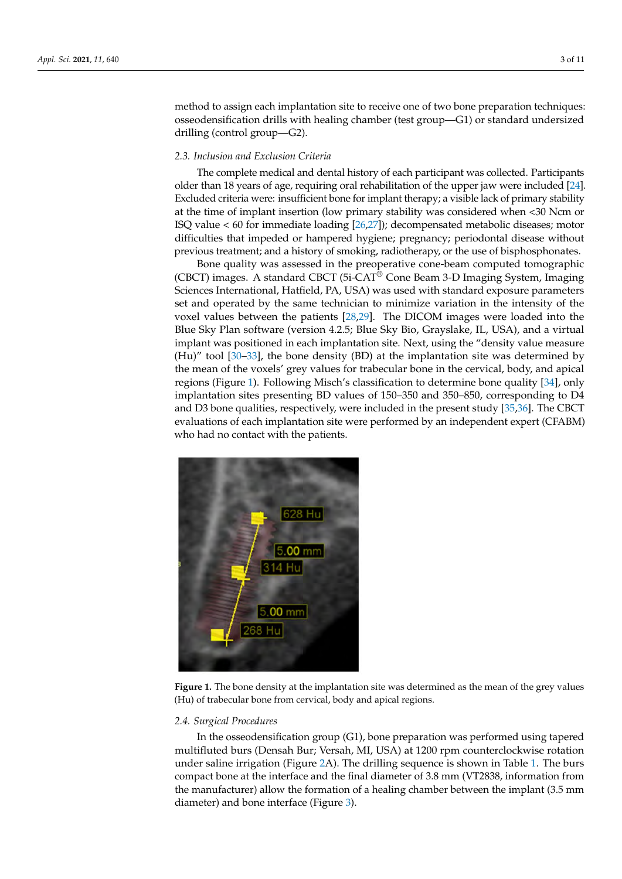method to assign each implantation site to receive one of two bone preparation techniques: osseodensification drills with healing chamber (test group—G1) or standard undersized drilling (control group—G2).

# *2.3. Inclusion and Exclusion Criteria*

The complete medical and dental history of each participant was collected. Participants older than 18 years of age, requiring oral rehabilitation of the upper jaw were included [\[24\]](#page-9-13). Excluded criteria were: insufficient bone for implant therapy; a visible lack of primary stability at the time of implant insertion (low primary stability was considered when <30 Ncm or ISQ value < 60 for immediate loading [\[26](#page-9-15)[,27\]](#page-9-16)); decompensated metabolic diseases; motor difficulties that impeded or hampered hygiene; pregnancy; periodontal disease without previous treatment; and a history of smoking, radiotherapy, or the use of bisphosphonates.

Bone quality was assessed in the preoperative cone-beam computed tomographic (CBCT) images. A standard CBCT (5i-CAT® Cone Beam 3-D Imaging System, Imaging Sciences International, Hatfield, PA, USA) was used with standard exposure parameters set and operated by the same technician to minimize variation in the intensity of the voxel values between the patients [\[28](#page-9-17)[,29\]](#page-9-18). The DICOM images were loaded into the Blue Sky Plan software (version 4.2.5; Blue Sky Bio, Grayslake, IL, USA), and a virtual implant was positioned in each implantation site. Next, using the "density value measure (Hu)" tool [\[30](#page-9-19)[–33\]](#page-10-0), the bone density (BD) at the implantation site was determined by the mean of the voxels' grey values for trabecular bone in the cervical, body, and apical regions (Figure [1\)](#page-2-0). Following Misch's classification to determine bone quality [\[34\]](#page-10-1), only implantation sites presenting BD values of 150–350 and 350–850, corresponding to D4 and D3 bone qualities, respectively, were included in the present study [\[35](#page-10-2)[,36\]](#page-10-3). The CBCT evaluations of each implantation site were performed by an independent expert (CFABM) who had no contact with the patients.

<span id="page-2-0"></span>

**Figure 1.** The bone density at the implantation site was determined as the mean of the grey values (Hu) of trabecular bone from cervical, body and apical regions.

#### *2.4. Surgical Procedures*

In the osseodensification group (G1), bone preparation was performed using tapered multifluted burs (Densah Bur; Versah, MI, USA) at 1200 rpm counterclockwise rotation under saline irrigation (Figure [2A](#page-3-0)). The drilling sequence is shown in Table [1.](#page-3-1) The burs compact bone at the interface and the final diameter of 3.8 mm (VT2838, information from the manufacturer) allow the formation of a healing chamber between the implant (3.5 mm diameter) and bone interface (Figure [3\)](#page-4-0).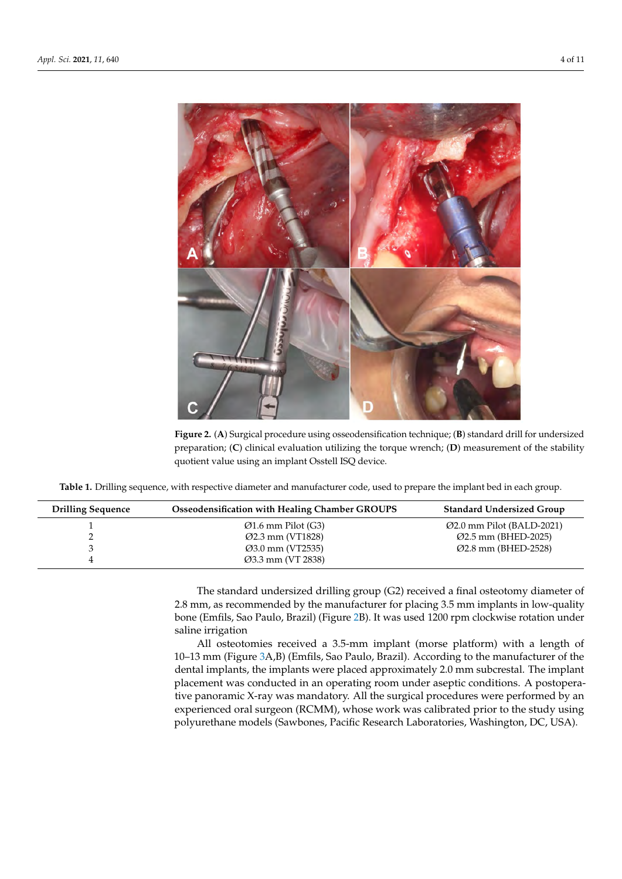<span id="page-3-0"></span>

**Figure 2.** (**A**) Surgical procedure using osseodensification technique; (**B**) standard drill for undersized preparation; (**C**) clinical evaluation utilizing the torque wrench; (**D**) measurement of the stability quotient value using an implant Osstell ISQ device.

<span id="page-3-1"></span>**Table 1.** Drilling sequence, with respective diameter and manufacturer code, used to prepare the implant bed in each group.

| <b>Drilling Sequence</b> | Osseodensification with Healing Chamber GROUPS | <b>Standard Undersized Group</b> |
|--------------------------|------------------------------------------------|----------------------------------|
|                          | $\varnothing$ 1.6 mm Pilot (G3)                | $Q2.0$ mm Pilot (BALD-2021)      |
|                          | $Q2.3$ mm (VT1828)                             | $Q2.5$ mm (BHED-2025)            |
|                          | $Q3.0$ mm (VT2535)                             | $Q2.8$ mm (BHED-2528)            |
|                          | Ø3.3 mm (VT 2838)                              |                                  |

The standard undersized drilling group (G2) received a final osteotomy diameter of 2.8 mm, as recommended by the manufacturer for placing 3.5 mm implants in low-quality bone (Emfils, Sao Paulo, Brazil) (Figure [2B](#page-3-0)). It was used 1200 rpm clockwise rotation under saline irrigation

All osteotomies received a 3.5-mm implant (morse platform) with a length of 10–13 mm (Figure [3A](#page-4-0),B) (Emfils, Sao Paulo, Brazil). According to the manufacturer of the dental implants, the implants were placed approximately 2.0 mm subcrestal. The implant placement was conducted in an operating room under aseptic conditions. A postoperative panoramic X-ray was mandatory. All the surgical procedures were performed by an experienced oral surgeon (RCMM), whose work was calibrated prior to the study using polyurethane models (Sawbones, Pacific Research Laboratories, Washington, DC, USA).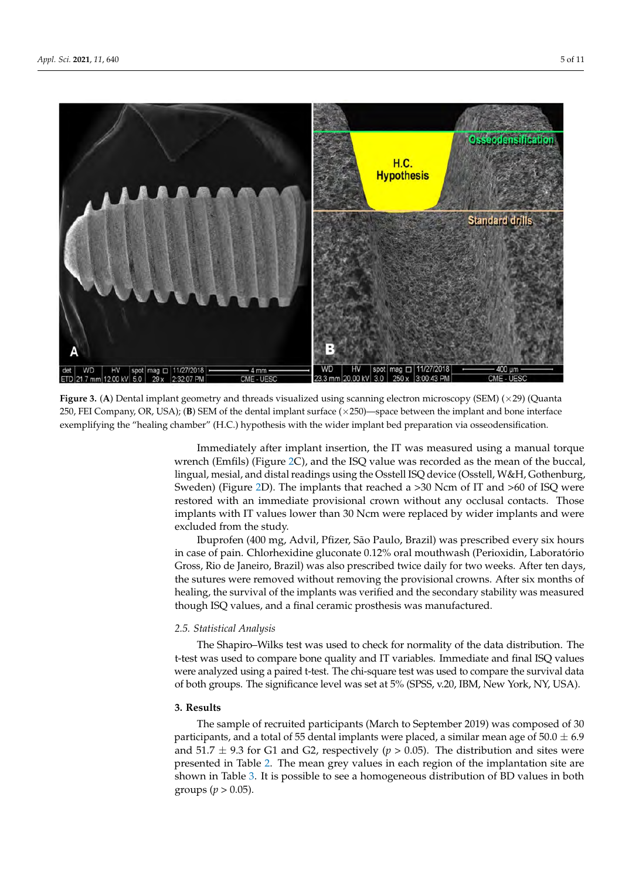<span id="page-4-0"></span>

**Figure 3.** (A) Dental implant geometry and threads visualized using scanning electron microscopy (SEM) ( $\times$ 29) (Quanta 250, FEI Company, OR, USA); (**B**) SEM of the dental implant surface (×250)—space between the implant and bone interface exemplifying the "healing chamber" (H.C.) hypothesis with the wider implant bed preparation via osseodensification.

> Immediately after implant insertion, the IT was measured using a manual torque wrench (Emfils) (Figure [2C](#page-3-0)), and the ISQ value was recorded as the mean of the buccal, lingual, mesial, and distal readings using the Osstell ISQ device (Osstell, W&H, Gothenburg, Sweden) (Figure [2D](#page-3-0)). The implants that reached a >30 Ncm of IT and >60 of ISQ were restored with an immediate provisional crown without any occlusal contacts. Those implants with IT values lower than 30 Ncm were replaced by wider implants and were excluded from the study.

> Ibuprofen (400 mg, Advil, Pfizer, São Paulo, Brazil) was prescribed every six hours in case of pain. Chlorhexidine gluconate 0.12% oral mouthwash (Perioxidin, Laboratório Gross, Rio de Janeiro, Brazil) was also prescribed twice daily for two weeks. After ten days, the sutures were removed without removing the provisional crowns. After six months of healing, the survival of the implants was verified and the secondary stability was measured though ISQ values, and a final ceramic prosthesis was manufactured.

#### *2.5. Statistical Analysis*

The Shapiro–Wilks test was used to check for normality of the data distribution. The t-test was used to compare bone quality and IT variables. Immediate and final ISQ values were analyzed using a paired t-test. The chi-square test was used to compare the survival data of both groups. The significance level was set at 5% (SPSS, v.20, IBM, New York, NY, USA).

## **3. Results**

The sample of recruited participants (March to September 2019) was composed of 30 participants, and a total of 55 dental implants were placed, a similar mean age of  $50.0 \pm 6.9$ and 51.7  $\pm$  9.3 for G1 and G2, respectively ( $p > 0.05$ ). The distribution and sites were presented in Table [2.](#page-5-0) The mean grey values in each region of the implantation site are shown in Table [3.](#page-5-1) It is possible to see a homogeneous distribution of BD values in both groups ( $p > 0.05$ ).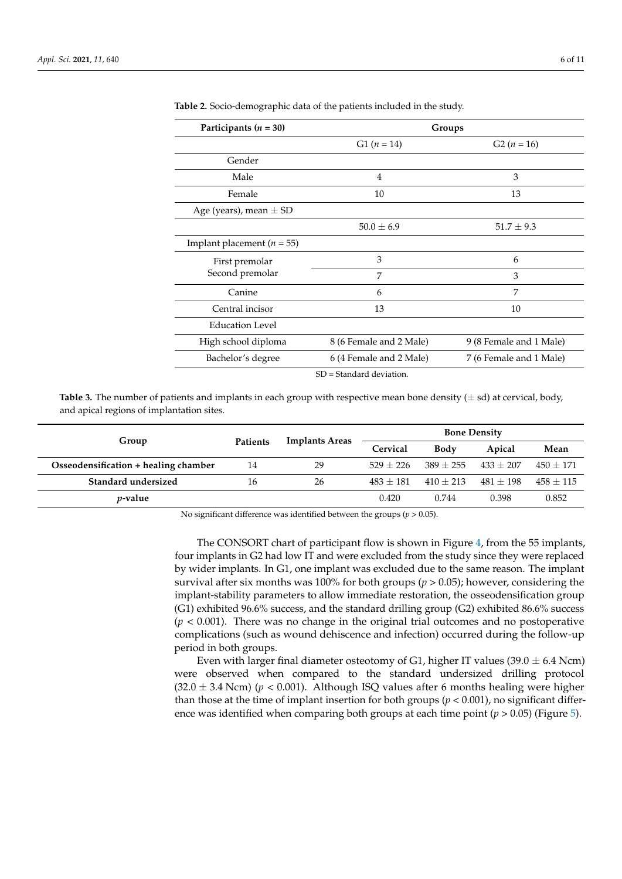| Participants $(n = 30)$        | Groups                   |                         |  |  |
|--------------------------------|--------------------------|-------------------------|--|--|
|                                | $G1 (n = 14)$            | $G2 (n = 16)$           |  |  |
| Gender                         |                          |                         |  |  |
| Male                           | $\overline{4}$           | 3                       |  |  |
| Female                         | 10                       | 13                      |  |  |
| Age (years), mean $\pm$ SD     |                          |                         |  |  |
|                                | $50.0 \pm 6.9$           | $51.7 \pm 9.3$          |  |  |
| Implant placement ( $n = 55$ ) |                          |                         |  |  |
| First premolar                 | 3                        | 6                       |  |  |
| Second premolar                | 7                        | 3                       |  |  |
| Canine                         | 6                        | 7                       |  |  |
| Central incisor                | 13                       | 10                      |  |  |
| <b>Education Level</b>         |                          |                         |  |  |
| High school diploma            | 8 (6 Female and 2 Male)  | 9 (8 Female and 1 Male) |  |  |
| Bachelor's degree              | 6 (4 Female and 2 Male)  | 7 (6 Female and 1 Male) |  |  |
|                                | SD = Standard deviation. |                         |  |  |

<span id="page-5-0"></span>**Table 2.** Socio-demographic data of the patients included in the study.

<span id="page-5-1"></span>**Table 3.** The number of patients and implants in each group with respective mean bone density  $(\pm sd)$  at cervical, body, and apical regions of implantation sites.

|                                      | <b>Patients</b> | <b>Implants Areas</b> | <b>Bone Density</b> |             |             |             |
|--------------------------------------|-----------------|-----------------------|---------------------|-------------|-------------|-------------|
| Group                                |                 |                       | Cervical            | Body        | Apical      | Mean        |
| Osseodensification + healing chamber | 14              | 29                    | $529 + 226$         | $389 + 255$ | $433 + 207$ | $450 + 171$ |
| Standard undersized                  | 16              | 26                    | $483 + 181$         | $410 + 213$ | $481 + 198$ | $458 + 115$ |
| <i>v</i> -value                      |                 |                       | 0.420               | 0.744       | 0.398       | 0.852       |

No significant difference was identified between the groups (*p* > 0.05).

The CONSORT chart of participant flow is shown in Figure [4,](#page-6-0) from the 55 implants, four implants in G2 had low IT and were excluded from the study since they were replaced by wider implants. In G1, one implant was excluded due to the same reason. The implant survival after six months was 100% for both groups (*p* > 0.05); however, considering the implant-stability parameters to allow immediate restoration, the osseodensification group (G1) exhibited 96.6% success, and the standard drilling group (G2) exhibited 86.6% success (*p* < 0.001). There was no change in the original trial outcomes and no postoperative complications (such as wound dehiscence and infection) occurred during the follow-up period in both groups.

Even with larger final diameter osteotomy of G1, higher IT values (39.0  $\pm$  6.4 Ncm) were observed when compared to the standard undersized drilling protocol  $(32.0 \pm 3.4 \text{ Ncm})$  ( $p < 0.001$ ). Although ISQ values after 6 months healing were higher than those at the time of implant insertion for both groups ( $p < 0.001$ ), no significant difference was identified when comparing both groups at each time point (*p* > 0.05) (Figure [5\)](#page-6-1).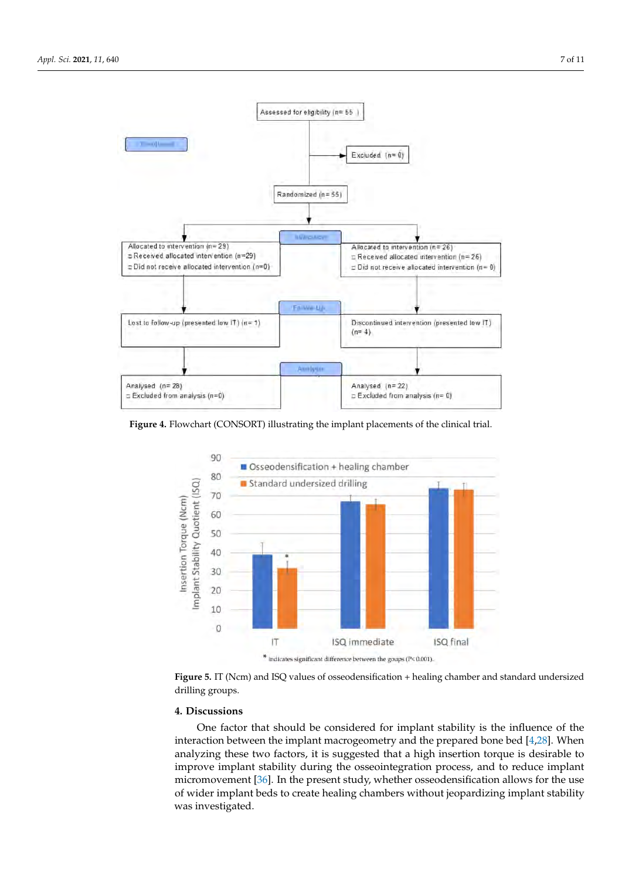<span id="page-6-0"></span>

**Figure 4.** Flowchart (CONSORT) illustrating the implant placements of the clinical trial.

<span id="page-6-1"></span>

**Figure 5.** IT (Ncm) and ISQ values of osseodensification + healing chamber and standard undersized drilling groups.

## **4. Discussions**

One factor that should be considered for implant stability is the influence of the interaction between the implant macrogeometry and the prepared bone bed [\[4,](#page-8-3)[28\]](#page-9-17). When analyzing these two factors, it is suggested that a high insertion torque is desirable to improve implant stability during the osseointegration process, and to reduce implant micromovement [\[36\]](#page-10-3). In the present study, whether osseodensification allows for the use of wider implant beds to create healing chambers without jeopardizing implant stability was investigated.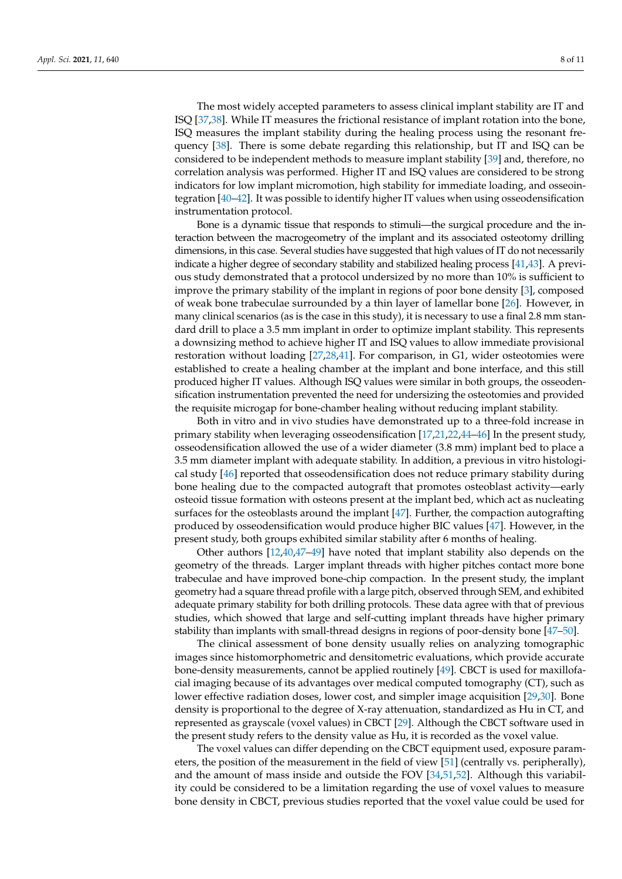The most widely accepted parameters to assess clinical implant stability are IT and ISQ [\[37](#page-10-4)[,38\]](#page-10-5). While IT measures the frictional resistance of implant rotation into the bone, ISQ measures the implant stability during the healing process using the resonant frequency [\[38\]](#page-10-5). There is some debate regarding this relationship, but IT and ISQ can be considered to be independent methods to measure implant stability [\[39\]](#page-10-6) and, therefore, no correlation analysis was performed. Higher IT and ISQ values are considered to be strong indicators for low implant micromotion, high stability for immediate loading, and osseointegration [\[40–](#page-10-7)[42\]](#page-10-8). It was possible to identify higher IT values when using osseodensification instrumentation protocol.

Bone is a dynamic tissue that responds to stimuli—the surgical procedure and the interaction between the macrogeometry of the implant and its associated osteotomy drilling dimensions, in this case. Several studies have suggested that high values of IT do not necessarily indicate a higher degree of secondary stability and stabilized healing process [\[41,](#page-10-9)[43\]](#page-10-10). A previous study demonstrated that a protocol undersized by no more than 10% is sufficient to improve the primary stability of the implant in regions of poor bone density [\[3\]](#page-8-2), composed of weak bone trabeculae surrounded by a thin layer of lamellar bone [\[26\]](#page-9-15). However, in many clinical scenarios (as is the case in this study), it is necessary to use a final 2.8 mm standard drill to place a 3.5 mm implant in order to optimize implant stability. This represents a downsizing method to achieve higher IT and ISQ values to allow immediate provisional restoration without loading [\[27](#page-9-16)[,28](#page-9-17)[,41\]](#page-10-9). For comparison, in G1, wider osteotomies were established to create a healing chamber at the implant and bone interface, and this still produced higher IT values. Although ISQ values were similar in both groups, the osseodensification instrumentation prevented the need for undersizing the osteotomies and provided the requisite microgap for bone-chamber healing without reducing implant stability.

Both in vitro and in vivo studies have demonstrated up to a three-fold increase in primary stability when leveraging osseodensification [\[17](#page-9-20)[,21](#page-9-21)[,22](#page-9-11)[,44](#page-10-11)[–46\]](#page-10-12) In the present study, osseodensification allowed the use of a wider diameter (3.8 mm) implant bed to place a 3.5 mm diameter implant with adequate stability. In addition, a previous in vitro histological study [\[46\]](#page-10-12) reported that osseodensification does not reduce primary stability during bone healing due to the compacted autograft that promotes osteoblast activity—early osteoid tissue formation with osteons present at the implant bed, which act as nucleating surfaces for the osteoblasts around the implant [\[47\]](#page-10-13). Further, the compaction autografting produced by osseodensification would produce higher BIC values [\[47\]](#page-10-13). However, in the present study, both groups exhibited similar stability after 6 months of healing.

Other authors [\[12](#page-9-6)[,40,](#page-10-7)[47–](#page-10-13)[49\]](#page-10-14) have noted that implant stability also depends on the geometry of the threads. Larger implant threads with higher pitches contact more bone trabeculae and have improved bone-chip compaction. In the present study, the implant geometry had a square thread profile with a large pitch, observed through SEM, and exhibited adequate primary stability for both drilling protocols. These data agree with that of previous studies, which showed that large and self-cutting implant threads have higher primary stability than implants with small-thread designs in regions of poor-density bone [\[47–](#page-10-13)[50\]](#page-10-15).

The clinical assessment of bone density usually relies on analyzing tomographic images since histomorphometric and densitometric evaluations, which provide accurate bone-density measurements, cannot be applied routinely [\[49\]](#page-10-14). CBCT is used for maxillofacial imaging because of its advantages over medical computed tomography (CT), such as lower effective radiation doses, lower cost, and simpler image acquisition [\[29,](#page-9-18)[30\]](#page-9-19). Bone density is proportional to the degree of X-ray attenuation, standardized as Hu in CT, and represented as grayscale (voxel values) in CBCT [\[29\]](#page-9-18). Although the CBCT software used in the present study refers to the density value as Hu, it is recorded as the voxel value.

The voxel values can differ depending on the CBCT equipment used, exposure parameters, the position of the measurement in the field of view [\[51\]](#page-10-16) (centrally vs. peripherally), and the amount of mass inside and outside the FOV [\[34,](#page-10-1)[51,](#page-10-16)[52\]](#page-10-17). Although this variability could be considered to be a limitation regarding the use of voxel values to measure bone density in CBCT, previous studies reported that the voxel value could be used for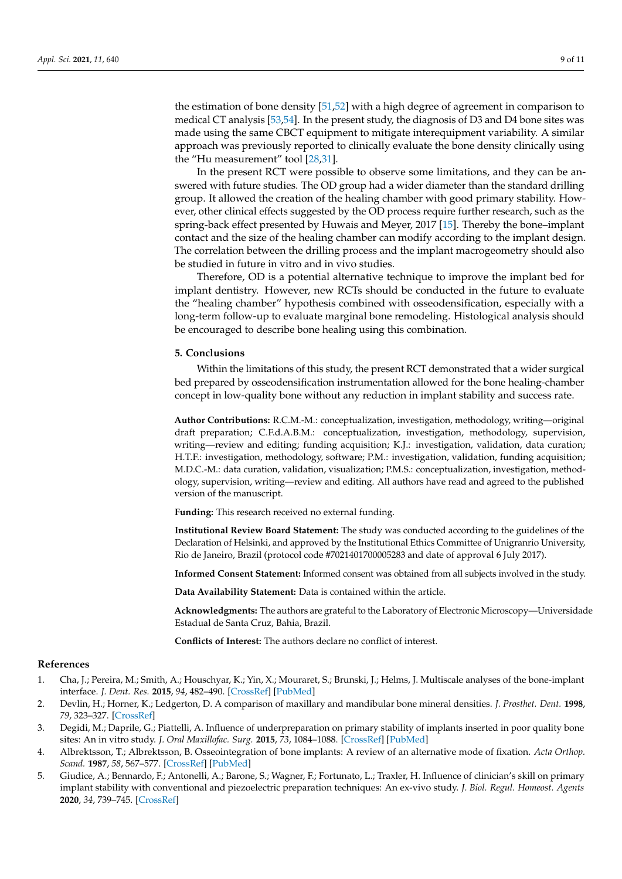the estimation of bone density [\[51,](#page-10-16)[52\]](#page-10-17) with a high degree of agreement in comparison to medical CT analysis [\[53,](#page-10-18)[54\]](#page-10-19). In the present study, the diagnosis of D3 and D4 bone sites was made using the same CBCT equipment to mitigate interequipment variability. A similar approach was previously reported to clinically evaluate the bone density clinically using the "Hu measurement" tool [\[28,](#page-9-17)[31\]](#page-9-22).

In the present RCT were possible to observe some limitations, and they can be answered with future studies. The OD group had a wider diameter than the standard drilling group. It allowed the creation of the healing chamber with good primary stability. However, other clinical effects suggested by the OD process require further research, such as the spring-back effect presented by Huwais and Meyer, 2017 [\[15\]](#page-9-9). Thereby the bone–implant contact and the size of the healing chamber can modify according to the implant design. The correlation between the drilling process and the implant macrogeometry should also be studied in future in vitro and in vivo studies.

Therefore, OD is a potential alternative technique to improve the implant bed for implant dentistry. However, new RCTs should be conducted in the future to evaluate the "healing chamber" hypothesis combined with osseodensification, especially with a long-term follow-up to evaluate marginal bone remodeling. Histological analysis should be encouraged to describe bone healing using this combination.

#### **5. Conclusions**

Within the limitations of this study, the present RCT demonstrated that a wider surgical bed prepared by osseodensification instrumentation allowed for the bone healing-chamber concept in low-quality bone without any reduction in implant stability and success rate.

**Author Contributions:** R.C.M.-M.: conceptualization, investigation, methodology, writing—original draft preparation; C.F.d.A.B.M.: conceptualization, investigation, methodology, supervision, writing—review and editing; funding acquisition; K.J.: investigation, validation, data curation; H.T.F.: investigation, methodology, software; P.M.: investigation, validation, funding acquisition; M.D.C.-M.: data curation, validation, visualization; P.M.S.: conceptualization, investigation, methodology, supervision, writing—review and editing. All authors have read and agreed to the published version of the manuscript.

**Funding:** This research received no external funding.

**Institutional Review Board Statement:** The study was conducted according to the guidelines of the Declaration of Helsinki, and approved by the Institutional Ethics Committee of Unigranrio University, Rio de Janeiro, Brazil (protocol code #7021401700005283 and date of approval 6 July 2017).

**Informed Consent Statement:** Informed consent was obtained from all subjects involved in the study.

**Data Availability Statement:** Data is contained within the article.

**Acknowledgments:** The authors are grateful to the Laboratory of Electronic Microscopy—Universidade Estadual de Santa Cruz, Bahia, Brazil.

**Conflicts of Interest:** The authors declare no conflict of interest.

#### **References**

- <span id="page-8-0"></span>1. Cha, J.; Pereira, M.; Smith, A.; Houschyar, K.; Yin, X.; Mouraret, S.; Brunski, J.; Helms, J. Multiscale analyses of the bone-implant interface. *J. Dent. Res.* **2015**, *94*, 482–490. [\[CrossRef\]](http://doi.org/10.1177/0022034514566029) [\[PubMed\]](http://www.ncbi.nlm.nih.gov/pubmed/25628271)
- <span id="page-8-1"></span>2. Devlin, H.; Horner, K.; Ledgerton, D. A comparison of maxillary and mandibular bone mineral densities. *J. Prosthet. Dent.* **1998**, *79*, 323–327. [\[CrossRef\]](http://doi.org/10.1016/S0022-3913(98)70245-8)
- <span id="page-8-2"></span>3. Degidi, M.; Daprile, G.; Piattelli, A. Influence of underpreparation on primary stability of implants inserted in poor quality bone sites: An in vitro study. *J. Oral Maxillofac. Surg.* **2015**, *73*, 1084–1088. [\[CrossRef\]](http://doi.org/10.1016/j.joms.2015.01.029) [\[PubMed\]](http://www.ncbi.nlm.nih.gov/pubmed/25861691)
- <span id="page-8-3"></span>4. Albrektsson, T.; Albrektsson, B. Osseointegration of bone implants: A review of an alternative mode of fixation. *Acta Orthop. Scand.* **1987**, *58*, 567–577. [\[CrossRef\]](http://doi.org/10.3109/17453678709146401) [\[PubMed\]](http://www.ncbi.nlm.nih.gov/pubmed/3321881)
- <span id="page-8-4"></span>5. Giudice, A.; Bennardo, F.; Antonelli, A.; Barone, S.; Wagner, F.; Fortunato, L.; Traxler, H. Influence of clinician's skill on primary implant stability with conventional and piezoelectric preparation techniques: An ex-vivo study. *J. Biol. Regul. Homeost. Agents* **2020**, *34*, 739–745. [\[CrossRef\]](http://doi.org/10.23812/20-96-l-53)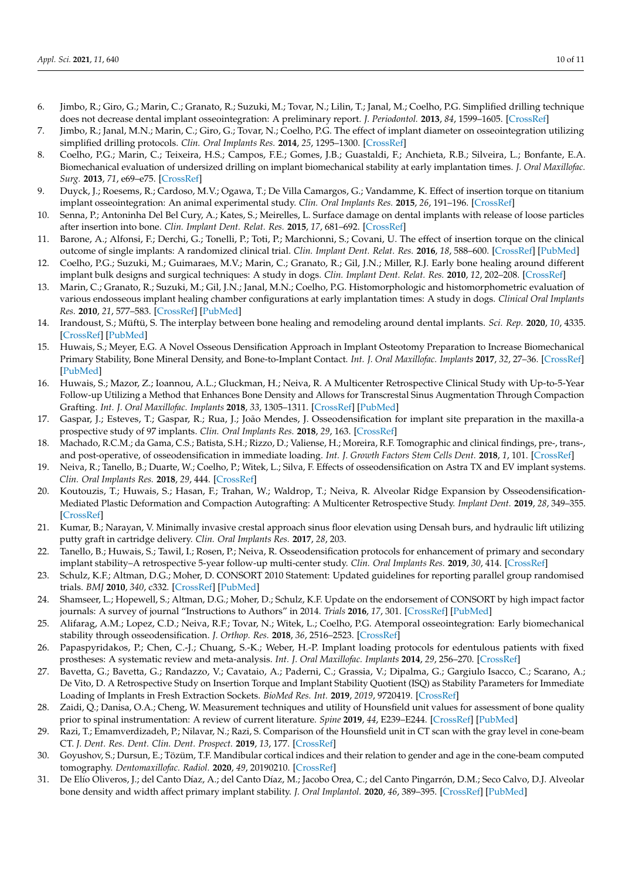- <span id="page-9-0"></span>6. Jimbo, R.; Giro, G.; Marin, C.; Granato, R.; Suzuki, M.; Tovar, N.; Lilin, T.; Janal, M.; Coelho, P.G. Simplified drilling technique does not decrease dental implant osseointegration: A preliminary report. *J. Periodontol.* **2013**, *84*, 1599–1605. [\[CrossRef\]](http://doi.org/10.1902/jop.2012.120565)
- <span id="page-9-1"></span>7. Jimbo, R.; Janal, M.N.; Marin, C.; Giro, G.; Tovar, N.; Coelho, P.G. The effect of implant diameter on osseointegration utilizing simplified drilling protocols. *Clin. Oral Implants Res.* **2014**, *25*, 1295–1300. [\[CrossRef\]](http://doi.org/10.1111/clr.12268)
- <span id="page-9-2"></span>8. Coelho, P.G.; Marin, C.; Teixeira, H.S.; Campos, F.E.; Gomes, J.B.; Guastaldi, F.; Anchieta, R.B.; Silveira, L.; Bonfante, E.A. Biomechanical evaluation of undersized drilling on implant biomechanical stability at early implantation times. *J. Oral Maxillofac. Surg.* **2013**, *71*, e69–e75. [\[CrossRef\]](http://doi.org/10.1016/j.joms.2012.10.008)
- <span id="page-9-3"></span>9. Duyck, J.; Roesems, R.; Cardoso, M.V.; Ogawa, T.; De Villa Camargos, G.; Vandamme, K. Effect of insertion torque on titanium implant osseointegration: An animal experimental study. *Clin. Oral Implants Res.* **2015**, *26*, 191–196. [\[CrossRef\]](http://doi.org/10.1111/clr.12316)
- <span id="page-9-4"></span>10. Senna, P.; Antoninha Del Bel Cury, A.; Kates, S.; Meirelles, L. Surface damage on dental implants with release of loose particles after insertion into bone. *Clin. Implant Dent. Relat. Res.* **2015**, *17*, 681–692. [\[CrossRef\]](http://doi.org/10.1111/cid.12167)
- <span id="page-9-5"></span>11. Barone, A.; Alfonsi, F.; Derchi, G.; Tonelli, P.; Toti, P.; Marchionni, S.; Covani, U. The effect of insertion torque on the clinical outcome of single implants: A randomized clinical trial. *Clin. Implant Dent. Relat. Res.* **2016**, *18*, 588–600. [\[CrossRef\]](http://doi.org/10.1111/cid.12337) [\[PubMed\]](http://www.ncbi.nlm.nih.gov/pubmed/26043651)
- <span id="page-9-6"></span>12. Coelho, P.G.; Suzuki, M.; Guimaraes, M.V.; Marin, C.; Granato, R.; Gil, J.N.; Miller, R.J. Early bone healing around different implant bulk designs and surgical techniques: A study in dogs. *Clin. Implant Dent. Relat. Res.* **2010**, *12*, 202–208. [\[CrossRef\]](http://doi.org/10.1111/j.1708-8208.2009.00153.x)
- <span id="page-9-7"></span>13. Marin, C.; Granato, R.; Suzuki, M.; Gil, J.N.; Janal, M.N.; Coelho, P.G. Histomorphologic and histomorphometric evaluation of various endosseous implant healing chamber configurations at early implantation times: A study in dogs. *Clinical Oral Implants Res.* **2010**, *21*, 577–583. [\[CrossRef\]](http://doi.org/10.1111/j.1600-0501.2009.01853.x) [\[PubMed\]](http://www.ncbi.nlm.nih.gov/pubmed/20105196)
- <span id="page-9-8"></span>14. Irandoust, S.; Müftü, S. The interplay between bone healing and remodeling around dental implants. *Sci. Rep.* **2020**, *10*, 4335. [\[CrossRef\]](http://doi.org/10.1038/s41598-020-60735-7) [\[PubMed\]](http://www.ncbi.nlm.nih.gov/pubmed/32152332)
- <span id="page-9-9"></span>15. Huwais, S.; Meyer, E.G. A Novel Osseous Densification Approach in Implant Osteotomy Preparation to Increase Biomechanical Primary Stability, Bone Mineral Density, and Bone-to-Implant Contact. *Int. J. Oral Maxillofac. Implants* **2017**, *32*, 27–36. [\[CrossRef\]](http://doi.org/10.11607/jomi.4817) [\[PubMed\]](http://www.ncbi.nlm.nih.gov/pubmed/27741329)
- <span id="page-9-10"></span>16. Huwais, S.; Mazor, Z.; Ioannou, A.L.; Gluckman, H.; Neiva, R. A Multicenter Retrospective Clinical Study with Up-to-5-Year Follow-up Utilizing a Method that Enhances Bone Density and Allows for Transcrestal Sinus Augmentation Through Compaction Grafting. *Int. J. Oral Maxillofac. Implants* **2018**, *33*, 1305–1311. [\[CrossRef\]](http://doi.org/10.11607/jomi.6770) [\[PubMed\]](http://www.ncbi.nlm.nih.gov/pubmed/30427961)
- <span id="page-9-20"></span>17. Gaspar, J.; Esteves, T.; Gaspar, R.; Rua, J.; João Mendes, J. Osseodensification for implant site preparation in the maxilla-a prospective study of 97 implants. *Clin. Oral Implants Res.* **2018**, *29*, 163. [\[CrossRef\]](http://doi.org/10.1111/clr.48_13358)
- 18. Machado, R.C.M.; da Gama, C.S.; Batista, S.H.; Rizzo, D.; Valiense, H.; Moreira, R.F. Tomographic and clinical findings, pre-, trans-, and post-operative, of osseodensification in immediate loading. *Int. J. Growth Factors Stem Cells Dent.* **2018**, *1*, 101. [\[CrossRef\]](http://doi.org/10.4103/GFSC.GFSC_22_18)
- 19. Neiva, R.; Tanello, B.; Duarte, W.; Coelho, P.; Witek, L.; Silva, F. Effects of osseodensification on Astra TX and EV implant systems. *Clin. Oral Implants Res.* **2018**, *29*, 444. [\[CrossRef\]](http://doi.org/10.1111/clr.329_13358)
- 20. Koutouzis, T.; Huwais, S.; Hasan, F.; Trahan, W.; Waldrop, T.; Neiva, R. Alveolar Ridge Expansion by Osseodensification-Mediated Plastic Deformation and Compaction Autografting: A Multicenter Retrospective Study. *Implant Dent.* **2019**, *28*, 349–355. [\[CrossRef\]](http://doi.org/10.1097/ID.0000000000000898)
- <span id="page-9-21"></span>21. Kumar, B.; Narayan, V. Minimally invasive crestal approach sinus floor elevation using Densah burs, and hydraulic lift utilizing putty graft in cartridge delivery. *Clin. Oral Implants Res.* **2017**, *28*, 203.
- <span id="page-9-11"></span>22. Tanello, B.; Huwais, S.; Tawil, I.; Rosen, P.; Neiva, R. Osseodensification protocols for enhancement of primary and secondary implant stability–A retrospective 5-year follow-up multi-center study. *Clin. Oral Implants Res.* **2019**, *30*, 414. [\[CrossRef\]](http://doi.org/10.1111/clr.370_13509)
- <span id="page-9-12"></span>23. Schulz, K.F.; Altman, D.G.; Moher, D. CONSORT 2010 Statement: Updated guidelines for reporting parallel group randomised trials. *BMJ* **2010**, *340*, c332. [\[CrossRef\]](http://doi.org/10.1136/bmj.c332) [\[PubMed\]](http://www.ncbi.nlm.nih.gov/pubmed/20332509)
- <span id="page-9-13"></span>24. Shamseer, L.; Hopewell, S.; Altman, D.G.; Moher, D.; Schulz, K.F. Update on the endorsement of CONSORT by high impact factor journals: A survey of journal "Instructions to Authors" in 2014. *Trials* **2016**, *17*, 301. [\[CrossRef\]](http://doi.org/10.1186/s13063-016-1408-z) [\[PubMed\]](http://www.ncbi.nlm.nih.gov/pubmed/27343072)
- <span id="page-9-14"></span>25. Alifarag, A.M.; Lopez, C.D.; Neiva, R.F.; Tovar, N.; Witek, L.; Coelho, P.G. Atemporal osseointegration: Early biomechanical stability through osseodensification. *J. Orthop. Res.* **2018**, *36*, 2516–2523. [\[CrossRef\]](http://doi.org/10.1002/jor.23893)
- <span id="page-9-15"></span>26. Papaspyridakos, P.; Chen, C.-J.; Chuang, S.-K.; Weber, H.-P. Implant loading protocols for edentulous patients with fixed prostheses: A systematic review and meta-analysis. *Int. J. Oral Maxillofac. Implants* **2014**, *29*, 256–270. [\[CrossRef\]](http://doi.org/10.11607/jomi.2014suppl.g4.3)
- <span id="page-9-16"></span>27. Bavetta, G.; Bavetta, G.; Randazzo, V.; Cavataio, A.; Paderni, C.; Grassia, V.; Dipalma, G.; Gargiulo Isacco, C.; Scarano, A.; De Vito, D. A Retrospective Study on Insertion Torque and Implant Stability Quotient (ISQ) as Stability Parameters for Immediate Loading of Implants in Fresh Extraction Sockets. *BioMed Res. Int.* **2019**, *2019*, 9720419. [\[CrossRef\]](http://doi.org/10.1155/2019/9720419)
- <span id="page-9-17"></span>28. Zaidi, Q.; Danisa, O.A.; Cheng, W. Measurement techniques and utility of Hounsfield unit values for assessment of bone quality prior to spinal instrumentation: A review of current literature. *Spine* **2019**, *44*, E239–E244. [\[CrossRef\]](http://doi.org/10.1097/BRS.0000000000002813) [\[PubMed\]](http://www.ncbi.nlm.nih.gov/pubmed/30063528)
- <span id="page-9-18"></span>29. Razi, T.; Emamverdizadeh, P.; Nilavar, N.; Razi, S. Comparison of the Hounsfield unit in CT scan with the gray level in cone-beam CT. *J. Dent. Res. Dent. Clin. Dent. Prospect.* **2019**, *13*, 177. [\[CrossRef\]](http://doi.org/10.15171/joddd.2019.028)
- <span id="page-9-19"></span>30. Goyushov, S.; Dursun, E.; Tözüm, T.F. Mandibular cortical indices and their relation to gender and age in the cone-beam computed tomography. *Dentomaxillofac. Radiol.* **2020**, *49*, 20190210. [\[CrossRef\]](http://doi.org/10.1259/dmfr.20190210)
- <span id="page-9-22"></span>31. De Elío Oliveros, J.; del Canto Díaz, A.; del Canto Díaz, M.; Jacobo Orea, C.; del Canto Pingarrón, D.M.; Seco Calvo, D.J. Alveolar bone density and width affect primary implant stability. *J. Oral Implantol.* **2020**, *46*, 389–395. [\[CrossRef\]](http://doi.org/10.1563/aaid-joi-D-19-00028) [\[PubMed\]](http://www.ncbi.nlm.nih.gov/pubmed/32221558)